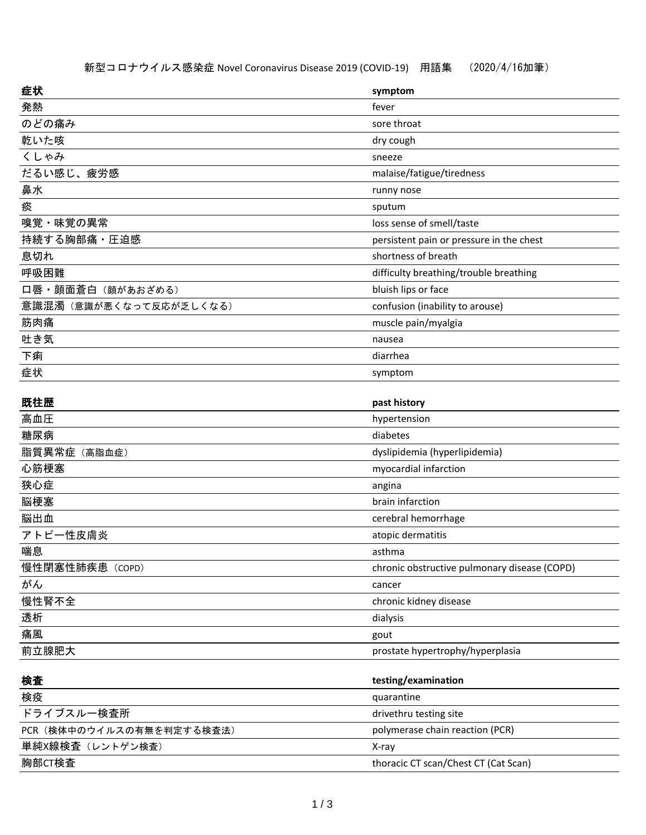| 症状                        | symptom                                      |
|---------------------------|----------------------------------------------|
| 発熱                        | fever                                        |
| のどの痛み                     | sore throat                                  |
| 乾いた咳                      | dry cough                                    |
| くしゃみ                      | sneeze                                       |
| だるい感じ、疲労感                 | malaise/fatigue/tiredness                    |
| 鼻水                        | runny nose                                   |
| 痰                         | sputum                                       |
| 嗅覚・味覚の異常                  | loss sense of smell/taste                    |
| 持続する胸部痛・圧迫感               | persistent pain or pressure in the chest     |
| 息切れ                       | shortness of breath                          |
| 呼吸困難                      | difficulty breathing/trouble breathing       |
| 口唇・顔面蒼白 (顔があおざめる)         | bluish lips or face                          |
| 意識混濁(意識が悪くなって反応が乏しくなる)    | confusion (inability to arouse)              |
| 筋肉痛                       | muscle pain/myalgia                          |
| 吐き気                       | nausea                                       |
| 下痢                        | diarrhea                                     |
| 症状                        | symptom                                      |
|                           |                                              |
| 既往歴                       | past history                                 |
| 高血圧                       | hypertension                                 |
| 糖尿病                       | diabetes                                     |
| 脂質異常症 (高脂血症)              | dyslipidemia (hyperlipidemia)                |
| 心筋梗塞                      | myocardial infarction                        |
| 狭心症                       | angina                                       |
| 脳梗塞                       | brain infarction                             |
| 脳出血                       | cerebral hemorrhage                          |
| アトピー性皮膚炎                  | atopic dermatitis                            |
| 喘息                        | asthma                                       |
| 慢性閉塞性肺疾患 (COPD)           | chronic obstructive pulmonary disease (COPD) |
| がん                        | cancer                                       |
| 慢性腎不全                     | chronic kidney disease                       |
| 透析                        | dialysis                                     |
| 痛風                        | gout                                         |
| 前立腺肥大                     | prostate hypertrophy/hyperplasia             |
| 検査                        | testing/examination                          |
| 検疫                        | quarantine                                   |
| ドライブスルー検査所                | drivethru testing site                       |
| PCR (検体中のウイルスの有無を判定する検査法) | polymerase chain reaction (PCR)              |
| 単純X線検査 (レントゲン検査)          | X-ray                                        |
| 胸部CT検査                    | thoracic CT scan/Chest CT (Cat Scan)         |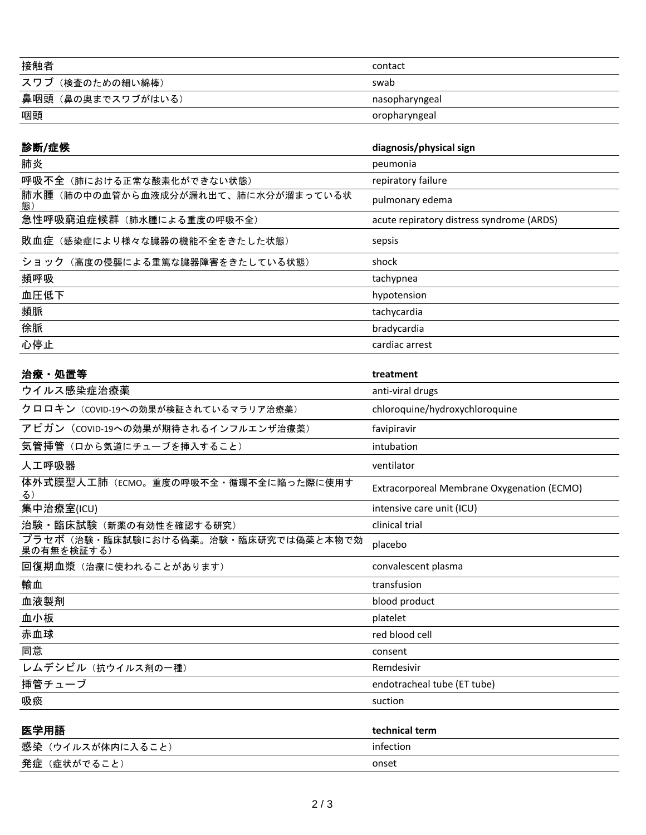| 接触者               | contact        |
|-------------------|----------------|
| スワブ (検査のための細い綿棒)  | swab           |
| 鼻咽頭(鼻の奥までスワブがはいる) | nasopharyngeal |
| 咽頭                | oropharyngeal  |
|                   |                |

| 診断/症候                                             | diagnosis/physical sign                    |
|---------------------------------------------------|--------------------------------------------|
| 肺炎                                                | peumonia                                   |
| 呼吸不全(肺における正常な酸素化ができない状態)                          | repiratory failure                         |
| 肺水腫(肺の中の血管から血液成分が漏れ出て、肺に水分が溜まっている状<br>態)          | pulmonary edema                            |
| 急性呼吸窮迫症候群(肺水腫による重度の呼吸不全)                          | acute repiratory distress syndrome (ARDS)  |
| 敗血症(感染症により様々な臓器の機能不全をきたした状態)                      | sepsis                                     |
| ショック(高度の侵襲による重篤な臓器障害をきたしている状態)                    | shock                                      |
| 頻呼吸                                               | tachypnea                                  |
| 血圧低下                                              | hypotension                                |
| 頻脈                                                | tachycardia                                |
| 徐脈                                                | bradycardia                                |
| 心停止                                               | cardiac arrest                             |
|                                                   |                                            |
| 治療 · 処置等                                          | treatment                                  |
| ウイルス感染症治療薬                                        | anti-viral drugs                           |
| クロロキン (COVID-19への効果が検証されているマラリア治療薬)               | chloroquine/hydroxychloroquine             |
| アピガン (coviD-19への効果が期待されるインフルエンザ治療薬)               | favipiravir                                |
| 気管挿管(ロから気道にチューブを挿入すること)                           | intubation                                 |
| 人工呼吸器                                             | ventilator                                 |
| 体外式膜型人工肺(ECMO。重度の呼吸不全・循環不全に陥った際に使用す<br>る)         | Extracorporeal Membrane Oxygenation (ECMO) |
| 集中治療室(ICU)                                        | intensive care unit (ICU)                  |
| 治験・臨床試験(新薬の有効性を確認する研究)                            | clinical trial                             |
| プラセボ(治験・臨床試験における偽薬。治験・臨床研究では偽薬と本物で効<br>果の有無を検証する) | placebo                                    |
| 回復期血漿 (治療に使われることがあります)                            | convalescent plasma                        |
| 輸血                                                | transfusion                                |
| 血液製剤                                              | blood product                              |
| 血小板                                               | platelet                                   |
| 赤血球                                               | red blood cell                             |
| 同意                                                | consent                                    |
| レムデシビル (抗ウイルス剤の一種)                                | Remdesivir                                 |
| 挿管チューブ                                            | endotracheal tube (ET tube)                |
| 吸痰                                                | suction                                    |
|                                                   |                                            |

| 医学用語             | technical term |
|------------------|----------------|
| 感染(ウイルスが体内に入ること) | infection      |
| 発症(症状がでること)      | onset          |